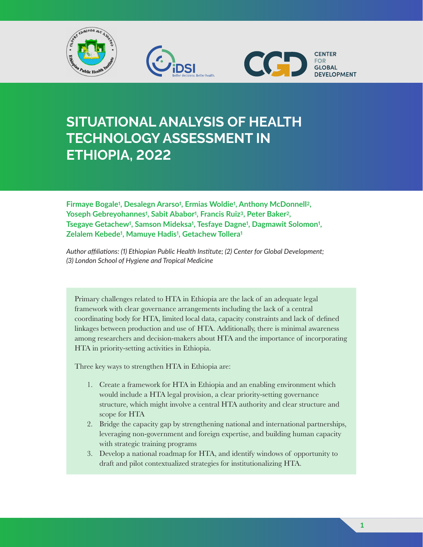





# **SITUATIONAL ANALYSIS OF HEALTH TECHNOLOGY ASSESSMENT IN ETHIOPIA, 2022**

**Firmaye Bogale1, Desalegn Ararso1, Ermias Woldie1, Anthony McDonnell2, Yoseph Gebreyohannes1, Sabit Ababor1, Francis Ruiz3, Peter Baker2, Tsegaye Getachew1, Samson Mideksa1, Tesfaye Dagne1, Dagmawit Solomon1, Zelalem Kebede1, Mamuye Hadis1, Getachew Tollera<sup>1</sup>**

*Author affiliations: (1) Ethiopian Public Health Institute; (2) Center for Global Development; (3) London School of Hygiene and Tropical Medicine*

Primary challenges related to HTA in Ethiopia are the lack of an adequate legal framework with clear governance arrangements including the lack of a central coordinating body for HTA, limited local data, capacity constraints and lack of defined linkages between production and use of HTA. Additionally, there is minimal awareness among researchers and decision-makers about HTA and the importance of incorporating HTA in priority-setting activities in Ethiopia.

Three key ways to strengthen HTA in Ethiopia are:

- 1. Create a framework for HTA in Ethiopia and an enabling environment which would include a HTA legal provision, a clear priority-setting governance structure, which might involve a central HTA authority and clear structure and scope for HTA
- 2. Bridge the capacity gap by strengthening national and international partnerships, leveraging non-government and foreign expertise, and building human capacity with strategic training programs
- 3. Develop a national roadmap for HTA, and identify windows of opportunity to draft and pilot contextualized strategies for institutionalizing HTA.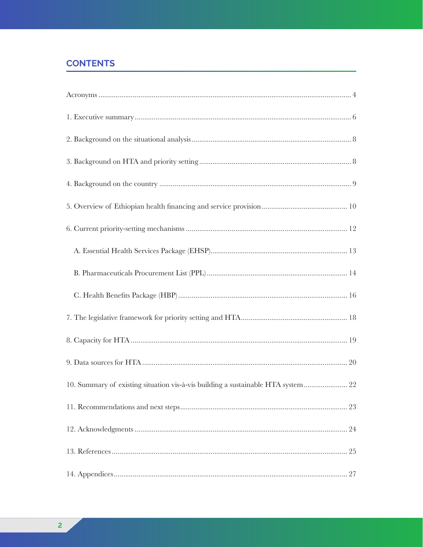# **CONTENTS**

| 10. Summary of existing situation vis-à-vis building a sustainable HTA system 22 |  |
|----------------------------------------------------------------------------------|--|
|                                                                                  |  |
|                                                                                  |  |
|                                                                                  |  |
|                                                                                  |  |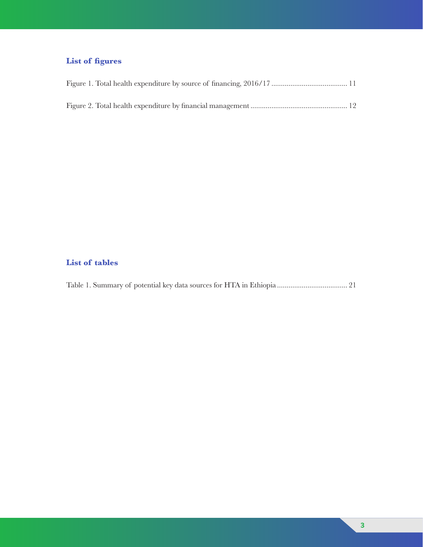# **List of figures**

# **List of tables**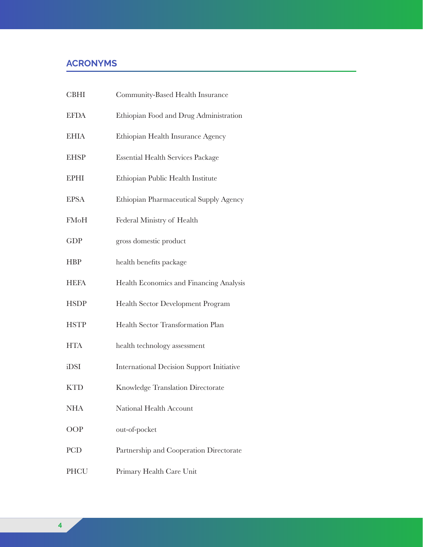# <span id="page-3-0"></span>**ACRONYMS**

| <b>CBHI</b> | Community-Based Health Insurance                 |
|-------------|--------------------------------------------------|
| <b>EFDA</b> | Ethiopian Food and Drug Administration           |
| <b>EHIA</b> | Ethiopian Health Insurance Agency                |
| <b>EHSP</b> | <b>Essential Health Services Package</b>         |
| <b>EPHI</b> | Ethiopian Public Health Institute                |
| <b>EPSA</b> | Ethiopian Pharmaceutical Supply Agency           |
| FMoH        | Federal Ministry of Health                       |
| <b>GDP</b>  | gross domestic product                           |
| <b>HBP</b>  | health benefits package                          |
| <b>HEFA</b> | Health Economics and Financing Analysis          |
| <b>HSDP</b> | Health Sector Development Program                |
| <b>HSTP</b> | Health Sector Transformation Plan                |
| <b>HTA</b>  | health technology assessment                     |
| iDSI        | <b>International Decision Support Initiative</b> |
| <b>KTD</b>  | <b>Knowledge Translation Directorate</b>         |
| <b>NHA</b>  | National Health Account                          |
| <b>OOP</b>  | out-of-pocket                                    |
| PCD         | Partnership and Cooperation Directorate          |
| PHCU        | Primary Health Care Unit                         |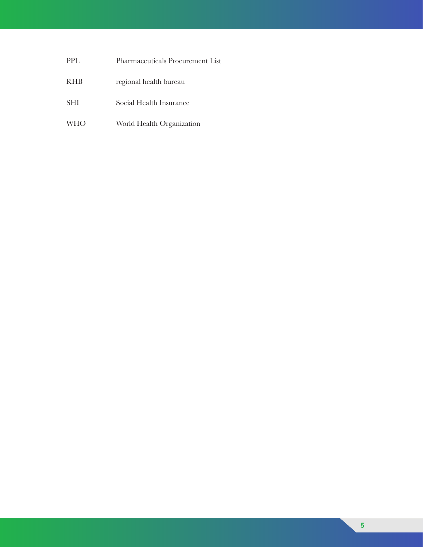- PPL Pharmaceuticals Procurement List
- RHB regional health bureau
- SHI Social Health Insurance
- WHO World Health Organization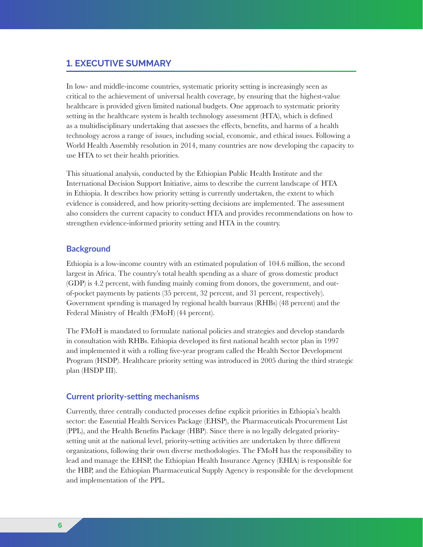# <span id="page-5-0"></span>**1. EXECUTIVE SUMMARY**

In low- and middle-income countries, systematic priority setting is increasingly seen as critical to the achievement of universal health coverage, by ensuring that the highest-value healthcare is provided given limited national budgets. One approach to systematic priority setting in the healthcare system is health technology assessment (HTA), which is defined as a multidisciplinary undertaking that assesses the effects, benefits, and harms of a health technology across a range of issues, including social, economic, and ethical issues. Following a World Health Assembly resolution in 2014, many countries are now developing the capacity to use HTA to set their health priorities.

This situational analysis, conducted by the Ethiopian Public Health Institute and the International Decision Support Initiative, aims to describe the current landscape of HTA in Ethiopia. It describes how priority setting is currently undertaken, the extent to which evidence is considered, and how priority-setting decisions are implemented. The assessment also considers the current capacity to conduct HTA and provides recommendations on how to strengthen evidence-informed priority setting and HTA in the country.

#### **Background**

Ethiopia is a low-income country with an estimated population of 104.6 million, the second largest in Africa. The country's total health spending as a share of gross domestic product (GDP) is 4.2 percent, with funding mainly coming from donors, the government, and outof-pocket payments by patients (35 percent, 32 percent, and 31 percent, respectively). Government spending is managed by regional health bureaus (RHBs) (48 percent) and the Federal Ministry of Health (FMoH) (44 percent).

The FMoH is mandated to formulate national policies and strategies and develop standards in consultation with RHBs. Ethiopia developed its first national health sector plan in 1997 and implemented it with a rolling five-year program called the Health Sector Development Program (HSDP). Healthcare priority setting was introduced in 2005 during the third strategic plan (HSDP III).

#### **Current priority-setting mechanisms**

Currently, three centrally conducted processes define explicit priorities in Ethiopia's health sector: the Essential Health Services Package (EHSP), the Pharmaceuticals Procurement List (PPL), and the Health Benefits Package (HBP). Since there is no legally delegated prioritysetting unit at the national level, priority-setting activities are undertaken by three different organizations, following their own diverse methodologies. The FMoH has the responsibility to lead and manage the EHSP, the Ethiopian Health Insurance Agency (EHIA) is responsible for the HBP, and the Ethiopian Pharmaceutical Supply Agency is responsible for the development and implementation of the PPL.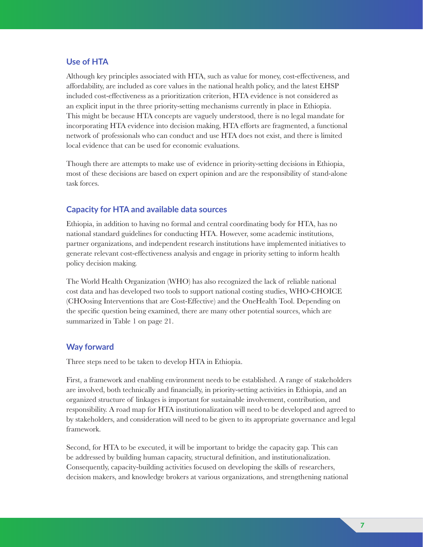#### **Use of HTA**

Although key principles associated with HTA, such as value for money, cost-effectiveness, and affordability, are included as core values in the national health policy, and the latest EHSP included cost-effectiveness as a prioritization criterion, HTA evidence is not considered as an explicit input in the three priority-setting mechanisms currently in place in Ethiopia. This might be because HTA concepts are vaguely understood, there is no legal mandate for incorporating HTA evidence into decision making, HTA efforts are fragmented, a functional network of professionals who can conduct and use HTA does not exist, and there is limited local evidence that can be used for economic evaluations.

Though there are attempts to make use of evidence in priority-setting decisions in Ethiopia, most of these decisions are based on expert opinion and are the responsibility of stand-alone task forces.

#### **Capacity for HTA and available data sources**

Ethiopia, in addition to having no formal and central coordinating body for HTA, has no national standard guidelines for conducting HTA. However, some academic institutions, partner organizations, and independent research institutions have implemented initiatives to generate relevant cost-effectiveness analysis and engage in priority setting to inform health policy decision making.

The World Health Organization (WHO) has also recognized the lack of reliable national cost data and has developed two tools to support national costing studies, WHO-CHOICE (CHOosing Interventions that are Cost-Effective) and the OneHealth Tool. Depending on the specific question being examined, there are many other potential sources, which are summarized in Table 1 on page 21.

#### **Way forward**

Three steps need to be taken to develop HTA in Ethiopia.

First, a framework and enabling environment needs to be established. A range of stakeholders are involved, both technically and financially, in priority-setting activities in Ethiopia, and an organized structure of linkages is important for sustainable involvement, contribution, and responsibility. A road map for HTA institutionalization will need to be developed and agreed to by stakeholders, and consideration will need to be given to its appropriate governance and legal framework.

Second, for HTA to be executed, it will be important to bridge the capacity gap. This can be addressed by building human capacity, structural definition, and institutionalization. Consequently, capacity-building activities focused on developing the skills of researchers, decision makers, and knowledge brokers at various organizations, and strengthening national

**7**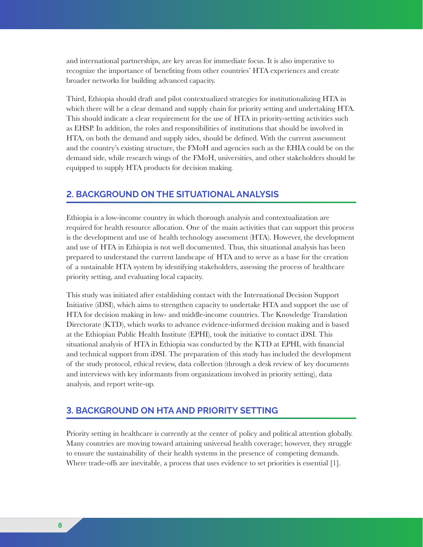<span id="page-7-0"></span>and international partnerships, are key areas for immediate focus. It is also imperative to recognize the importance of benefiting from other countries' HTA experiences and create broader networks for building advanced capacity.

Third, Ethiopia should draft and pilot contextualized strategies for institutionalizing HTA in which there will be a clear demand and supply chain for priority setting and undertaking HTA. This should indicate a clear requirement for the use of HTA in priority-setting activities such as EHSP. In addition, the roles and responsibilities of institutions that should be involved in HTA, on both the demand and supply sides, should be defined. With the current assessment and the country's existing structure, the FMoH and agencies such as the EHIA could be on the demand side, while research wings of the FMoH, universities, and other stakeholders should be equipped to supply HTA products for decision making.

### **2. BACKGROUND ON THE SITUATIONAL ANALYSIS**

Ethiopia is a low-income country in which thorough analysis and contextualization are required for health resource allocation. One of the main activities that can support this process is the development and use of health technology assessment (HTA). However, the development and use of HTA in Ethiopia is not well documented. Thus, this situational analysis has been prepared to understand the current landscape of HTA and to serve as a base for the creation of a sustainable HTA system by identifying stakeholders, assessing the process of healthcare priority setting, and evaluating local capacity.

This study was initiated after establishing contact with the International Decision Support Initiative (iDSI), which aims to strengthen capacity to undertake HTA and support the use of HTA for decision making in low- and middle-income countries. The Knowledge Translation Directorate (KTD), which works to advance evidence-informed decision making and is based at the Ethiopian Public Health Institute (EPHI), took the initiative to contact iDSI. This situational analysis of HTA in Ethiopia was conducted by the KTD at EPHI, with financial and technical support from iDSI. The preparation of this study has included the development of the study protocol, ethical review, data collection (through a desk review of key documents and interviews with key informants from organizations involved in priority setting), data analysis, and report write-up.

# **3. BACKGROUND ON HTA AND PRIORITY SETTING**

Priority setting in healthcare is currently at the center of policy and political attention globally. Many countries are moving toward attaining universal health coverage; however, they struggle to ensure the sustainability of their health systems in the presence of competing demands. Where trade-offs are inevitable, a process that uses evidence to set priorities is essential [1].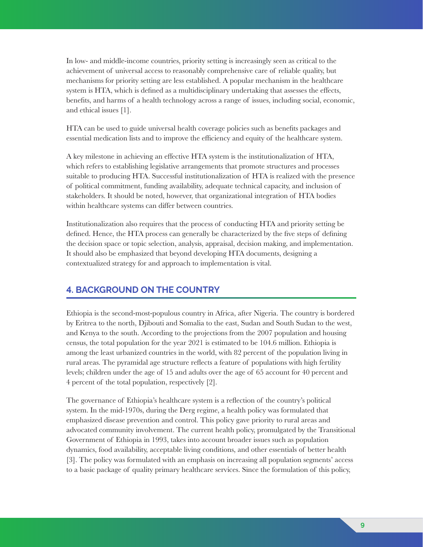<span id="page-8-0"></span>In low- and middle-income countries, priority setting is increasingly seen as critical to the achievement of universal access to reasonably comprehensive care of reliable quality, but mechanisms for priority setting are less established. A popular mechanism in the healthcare system is HTA, which is defined as a multidisciplinary undertaking that assesses the effects, benefits, and harms of a health technology across a range of issues, including social, economic, and ethical issues [1].

HTA can be used to guide universal health coverage policies such as benefits packages and essential medication lists and to improve the efficiency and equity of the healthcare system.

A key milestone in achieving an effective HTA system is the institutionalization of HTA, which refers to establishing legislative arrangements that promote structures and processes suitable to producing HTA. Successful institutionalization of HTA is realized with the presence of political commitment, funding availability, adequate technical capacity, and inclusion of stakeholders. It should be noted, however, that organizational integration of HTA bodies within healthcare systems can differ between countries.

Institutionalization also requires that the process of conducting HTA and priority setting be defined. Hence, the HTA process can generally be characterized by the five steps of defining the decision space or topic selection, analysis, appraisal, decision making, and implementation. It should also be emphasized that beyond developing HTA documents, designing a contextualized strategy for and approach to implementation is vital.

# **4. BACKGROUND ON THE COUNTRY**

Ethiopia is the second-most-populous country in Africa, after Nigeria. The country is bordered by Eritrea to the north, Djibouti and Somalia to the east, Sudan and South Sudan to the west, and Kenya to the south. According to the projections from the 2007 population and housing census, the total population for the year 2021 is estimated to be 104.6 million. Ethiopia is among the least urbanized countries in the world, with 82 percent of the population living in rural areas. The pyramidal age structure reflects a feature of populations with high fertility levels; children under the age of 15 and adults over the age of 65 account for 40 percent and 4 percent of the total population, respectively [2].

The governance of Ethiopia's healthcare system is a reflection of the country's political system. In the mid-1970s, during the Derg regime, a health policy was formulated that emphasized disease prevention and control. This policy gave priority to rural areas and advocated community involvement. The current health policy, promulgated by the Transitional Government of Ethiopia in 1993, takes into account broader issues such as population dynamics, food availability, acceptable living conditions, and other essentials of better health [3]. The policy was formulated with an emphasis on increasing all population segments' access to a basic package of quality primary healthcare services. Since the formulation of this policy,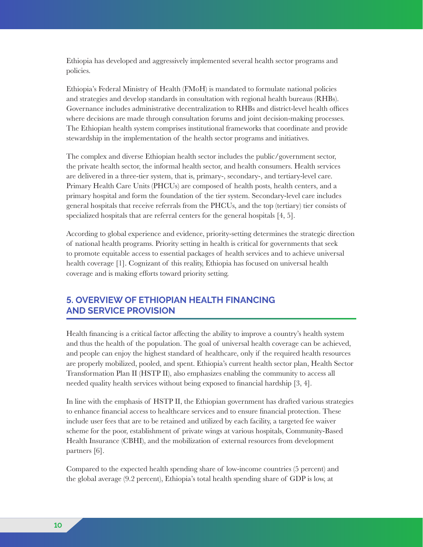<span id="page-9-0"></span>Ethiopia has developed and aggressively implemented several health sector programs and policies.

Ethiopia's Federal Ministry of Health (FMoH) is mandated to formulate national policies and strategies and develop standards in consultation with regional health bureaus (RHBs). Governance includes administrative decentralization to RHBs and district-level health offices where decisions are made through consultation forums and joint decision-making processes. The Ethiopian health system comprises institutional frameworks that coordinate and provide stewardship in the implementation of the health sector programs and initiatives.

The complex and diverse Ethiopian health sector includes the public/government sector, the private health sector, the informal health sector, and health consumers. Health services are delivered in a three-tier system, that is, primary-, secondary-, and tertiary-level care. Primary Health Care Units (PHCUs) are composed of health posts, health centers, and a primary hospital and form the foundation of the tier system. Secondary-level care includes general hospitals that receive referrals from the PHCUs, and the top (tertiary) tier consists of specialized hospitals that are referral centers for the general hospitals [4, 5].

According to global experience and evidence, priority-setting determines the strategic direction of national health programs. Priority setting in health is critical for governments that seek to promote equitable access to essential packages of health services and to achieve universal health coverage [1]. Cognizant of this reality, Ethiopia has focused on universal health coverage and is making efforts toward priority setting.

# **5. OVERVIEW OF ETHIOPIAN HEALTH FINANCING AND SERVICE PROVISION**

Health financing is a critical factor affecting the ability to improve a country's health system and thus the health of the population. The goal of universal health coverage can be achieved, and people can enjoy the highest standard of healthcare, only if the required health resources are properly mobilized, pooled, and spent. Ethiopia's current health sector plan, Health Sector Transformation Plan II (HSTP II), also emphasizes enabling the community to access all needed quality health services without being exposed to financial hardship [3, 4].

In line with the emphasis of HSTP II, the Ethiopian government has drafted various strategies to enhance financial access to healthcare services and to ensure financial protection. These include user fees that are to be retained and utilized by each facility, a targeted fee waiver scheme for the poor, establishment of private wings at various hospitals, Community-Based Health Insurance (CBHI), and the mobilization of external resources from development partners [6].

Compared to the expected health spending share of low-income countries (5 percent) and the global average (9.2 percent), Ethiopia's total health spending share of GDP is low, at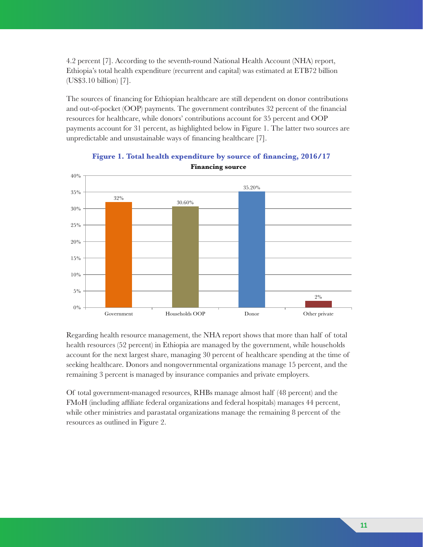<span id="page-10-0"></span>4.2 percent [7]. According to the seventh-round National Health Account (NHA) report, Ethiopia's total health expenditure (recurrent and capital) was estimated at ETB72 billion (US\$3.10 billion) [7].

The sources of financing for Ethiopian healthcare are still dependent on donor contributions and out-of-pocket (OOP) payments. The government contributes 32 percent of the financial resources for healthcare, while donors' contributions account for 35 percent and OOP payments account for 31 percent, as highlighted below in Figure 1. The latter two sources are unpredictable and unsustainable ways of financing healthcare [7].



**Figure 1. Total health expenditure by source of financing, 2016/17 Financing source**

Regarding health resource management, the NHA report shows that more than half of total health resources (52 percent) in Ethiopia are managed by the government, while households account for the next largest share, managing 30 percent of healthcare spending at the time of seeking healthcare. Donors and nongovernmental organizations manage 15 percent, and the remaining 3 percent is managed by insurance companies and private employers.

Of total government-managed resources, RHBs manage almost half (48 percent) and the FMoH (including affiliate federal organizations and federal hospitals) manages 44 percent, while other ministries and parastatal organizations manage the remaining 8 percent of the resources as outlined in Figure 2.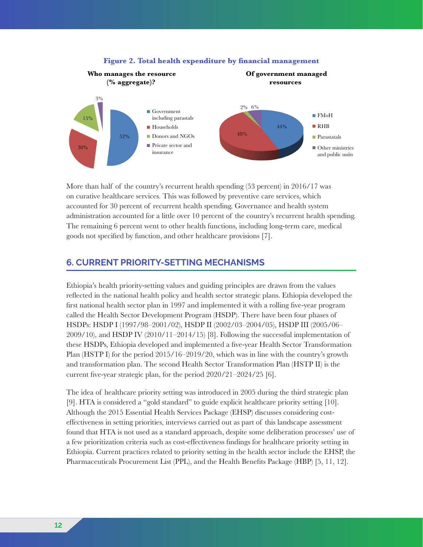<span id="page-11-0"></span>

#### **Figure 2. Total health expenditure by financial management**

More than half of the country's recurrent health spending (53 percent) in 2016/17 was on curative healthcare services. This was followed by preventive care services, which accounted for 30 percent of recurrent health spending. Governance and health system administration accounted for a little over 10 percent of the country's recurrent health spending. The remaining 6 percent went to other health functions, including long-term care, medical goods not specified by function, and other healthcare provisions [7].

# **6. CURRENT PRIORITY-SETTING MECHANISMS**

Ethiopia's health priority-setting values and guiding principles are drawn from the values reflected in the national health policy and health sector strategic plans. Ethiopia developed the first national health sector plan in 1997 and implemented it with a rolling five-year program called the Health Sector Development Program (HSDP). There have been four phases of HSDPs: HSDP I (1997/98–2001/02), HSDP II (2002/03–2004/05), HSDP III (2005/06– 2009/10), and HSDP IV (2010/11–2014/15) [8]. Following the successful implementation of these HSDPs, Ethiopia developed and implemented a five-year Health Sector Transformation Plan (HSTP I) for the period 2015/16–2019/20, which was in line with the country's growth and transformation plan. The second Health Sector Transformation Plan (HSTP II) is the current five-year strategic plan, for the period 2020/21–2024/25 [6].

The idea of healthcare priority setting was introduced in 2005 during the third strategic plan [9]. HTA is considered a "gold standard" to guide explicit healthcare priority setting [10]. Although the 2015 Essential Health Services Package (EHSP) discusses considering costeffectiveness in setting priorities, interviews carried out as part of this landscape assessment found that HTA is not used as a standard approach, despite some deliberation processes' use of a few prioritization criteria such as cost-effectiveness findings for healthcare priority setting in Ethiopia. Current practices related to priority setting in the health sector include the EHSP, the Pharmaceuticals Procurement List (PPL), and the Health Benefits Package (HBP) [5, 11, 12].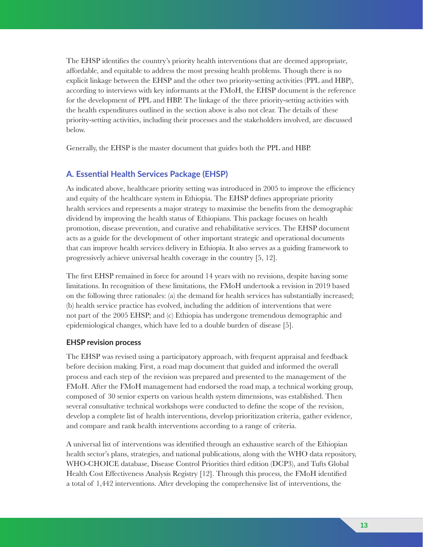<span id="page-12-0"></span>The EHSP identifies the country's priority health interventions that are deemed appropriate, affordable, and equitable to address the most pressing health problems. Though there is no explicit linkage between the EHSP and the other two priority-setting activities (PPL and HBP), according to interviews with key informants at the FMoH, the EHSP document is the reference for the development of PPL and HBP. The linkage of the three priority-setting activities with the health expenditures outlined in the section above is also not clear. The details of these priority-setting activities, including their processes and the stakeholders involved, are discussed below.

Generally, the EHSP is the master document that guides both the PPL and HBP.

#### **A. Essential Health Services Package (EHSP)**

As indicated above, healthcare priority setting was introduced in 2005 to improve the efficiency and equity of the healthcare system in Ethiopia. The EHSP defines appropriate priority health services and represents a major strategy to maximise the benefits from the demographic dividend by improving the health status of Ethiopians. This package focuses on health promotion, disease prevention, and curative and rehabilitative services. The EHSP document acts as a guide for the development of other important strategic and operational documents that can improve health services delivery in Ethiopia. It also serves as a guiding framework to progressively achieve universal health coverage in the country [5, 12].

The first EHSP remained in force for around 14 years with no revisions, despite having some limitations. In recognition of these limitations, the FMoH undertook a revision in 2019 based on the following three rationales: (a) the demand for health services has substantially increased; (b) health service practice has evolved, including the addition of interventions that were not part of the 2005 EHSP; and (c) Ethiopia has undergone tremendous demographic and epidemiological changes, which have led to a double burden of disease [5].

#### **EHSP revision process**

The EHSP was revised using a participatory approach, with frequent appraisal and feedback before decision making. First, a road map document that guided and informed the overall process and each step of the revision was prepared and presented to the management of the FMoH. After the FMoH management had endorsed the road map, a technical working group, composed of 30 senior experts on various health system dimensions, was established. Then several consultative technical workshops were conducted to define the scope of the revision, develop a complete list of health interventions, develop prioritization criteria, gather evidence, and compare and rank health interventions according to a range of criteria.

A universal list of interventions was identified through an exhaustive search of the Ethiopian health sector's plans, strategies, and national publications, along with the WHO data repository, WHO-CHOICE database, Disease Control Priorities third edition (DCP3), and Tufts Global Health Cost Effectiveness Analysis Registry [12]. Through this process, the FMoH identified a total of 1,442 interventions. After developing the comprehensive list of interventions, the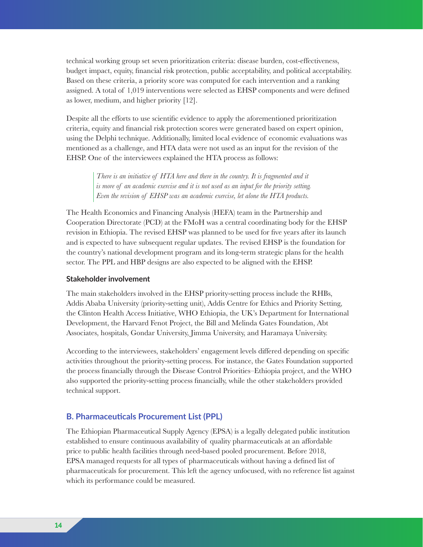<span id="page-13-0"></span>technical working group set seven prioritization criteria: disease burden, cost-effectiveness, budget impact, equity, financial risk protection, public acceptability, and political acceptability. Based on these criteria, a priority score was computed for each intervention and a ranking assigned. A total of 1,019 interventions were selected as EHSP components and were defined as lower, medium, and higher priority [12].

Despite all the efforts to use scientific evidence to apply the aforementioned prioritization criteria, equity and financial risk protection scores were generated based on expert opinion, using the Delphi technique. Additionally, limited local evidence of economic evaluations was mentioned as a challenge, and HTA data were not used as an input for the revision of the EHSP. One of the interviewees explained the HTA process as follows:

> *There is an initiative of HTA here and there in the country. It is fragmented and it is more of an academic exercise and it is not used as an input for the priority setting. Even the revision of EHSP was an academic exercise, let alone the HTA products.*

The Health Economics and Financing Analysis (HEFA) team in the Partnership and Cooperation Directorate (PCD) at the FMoH was a central coordinating body for the EHSP revision in Ethiopia. The revised EHSP was planned to be used for five years after its launch and is expected to have subsequent regular updates. The revised EHSP is the foundation for the country's national development program and its long-term strategic plans for the health sector. The PPL and HBP designs are also expected to be aligned with the EHSP.

#### **Stakeholder involvement**

The main stakeholders involved in the EHSP priority-setting process include the RHBs, Addis Ababa University (priority-setting unit), Addis Centre for Ethics and Priority Setting, the Clinton Health Access Initiative, WHO Ethiopia, the UK's Department for International Development, the Harvard Fenot Project, the Bill and Melinda Gates Foundation, Abt Associates, hospitals, Gondar University, Jimma University, and Haramaya University.

According to the interviewees, stakeholders' engagement levels differed depending on specific activities throughout the priority-setting process. For instance, the Gates Foundation supported the process financially through the Disease Control Priorities–Ethiopia project, and the WHO also supported the priority-setting process financially, while the other stakeholders provided technical support.

#### **B. Pharmaceuticals Procurement List (PPL)**

The Ethiopian Pharmaceutical Supply Agency (EPSA) is a legally delegated public institution established to ensure continuous availability of quality pharmaceuticals at an affordable price to public health facilities through need-based pooled procurement. Before 2018, EPSA managed requests for all types of pharmaceuticals without having a defined list of pharmaceuticals for procurement. This left the agency unfocused, with no reference list against which its performance could be measured.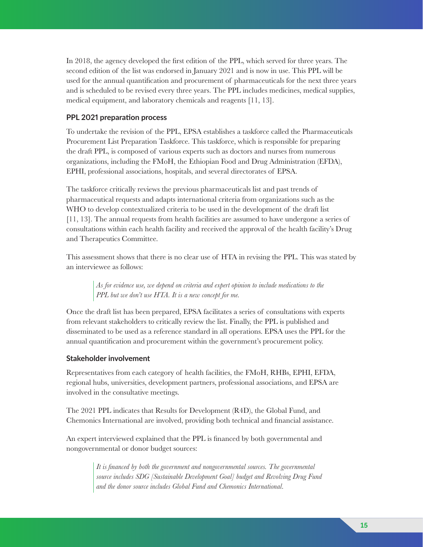In 2018, the agency developed the first edition of the PPL, which served for three years. The second edition of the list was endorsed in January 2021 and is now in use. This PPL will be used for the annual quantification and procurement of pharmaceuticals for the next three years and is scheduled to be revised every three years. The PPL includes medicines, medical supplies, medical equipment, and laboratory chemicals and reagents [11, 13].

#### **PPL 2021 preparation process**

To undertake the revision of the PPL, EPSA establishes a taskforce called the Pharmaceuticals Procurement List Preparation Taskforce. This taskforce, which is responsible for preparing the draft PPL, is composed of various experts such as doctors and nurses from numerous organizations, including the FMoH, the Ethiopian Food and Drug Administration (EFDA), EPHI, professional associations, hospitals, and several directorates of EPSA.

The taskforce critically reviews the previous pharmaceuticals list and past trends of pharmaceutical requests and adapts international criteria from organizations such as the WHO to develop contextualized criteria to be used in the development of the draft list [11, 13]. The annual requests from health facilities are assumed to have undergone a series of consultations within each health facility and received the approval of the health facility's Drug and Therapeutics Committee.

This assessment shows that there is no clear use of HTA in revising the PPL. This was stated by an interviewee as follows:

*As for evidence use, we depend on criteria and expert opinion to include medications to the PPL but we don't use HTA. It is a new concept for me.*

Once the draft list has been prepared, EPSA facilitates a series of consultations with experts from relevant stakeholders to critically review the list. Finally, the PPL is published and disseminated to be used as a reference standard in all operations. EPSA uses the PPL for the annual quantification and procurement within the government's procurement policy.

#### **Stakeholder involvement**

Representatives from each category of health facilities, the FMoH, RHBs, EPHI, EFDA, regional hubs, universities, development partners, professional associations, and EPSA are involved in the consultative meetings.

The 2021 PPL indicates that Results for Development (R4D), the Global Fund, and Chemonics International are involved, providing both technical and financial assistance.

An expert interviewed explained that the PPL is financed by both governmental and nongovernmental or donor budget sources:

> *It is financed by both the government and nongovernmental sources. The governmental source includes SDG [Sustainable Development Goal] budget and Revolving Drug Fund and the donor source includes Global Fund and Chemonics International.*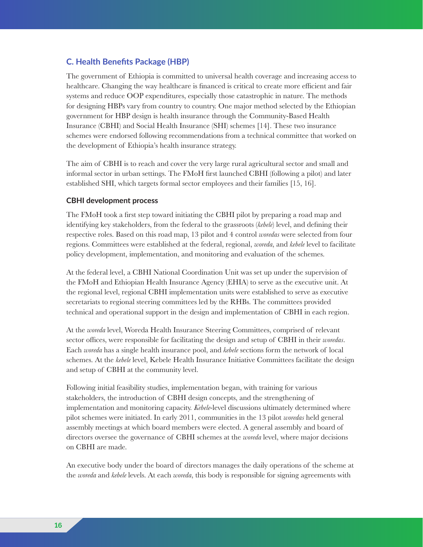### <span id="page-15-0"></span>**C. Health Benefits Package (HBP)**

The government of Ethiopia is committed to universal health coverage and increasing access to healthcare. Changing the way healthcare is financed is critical to create more efficient and fair systems and reduce OOP expenditures, especially those catastrophic in nature. The methods for designing HBPs vary from country to country. One major method selected by the Ethiopian government for HBP design is health insurance through the Community-Based Health Insurance (CBHI) and Social Health Insurance (SHI) schemes [14]. These two insurance schemes were endorsed following recommendations from a technical committee that worked on the development of Ethiopia's health insurance strategy.

The aim of CBHI is to reach and cover the very large rural agricultural sector and small and informal sector in urban settings. The FMoH first launched CBHI (following a pilot) and later established SHI, which targets formal sector employees and their families [15, 16].

#### **CBHI development process**

The FMoH took a first step toward initiating the CBHI pilot by preparing a road map and identifying key stakeholders, from the federal to the grassroots (*kebele*) level, and defining their respective roles. Based on this road map, 13 pilot and 4 control *woredas* were selected from four regions. Committees were established at the federal, regional, *woreda*, and *kebele* level to facilitate policy development, implementation, and monitoring and evaluation of the schemes.

At the federal level, a CBHI National Coordination Unit was set up under the supervision of the FMoH and Ethiopian Health Insurance Agency (EHIA) to serve as the executive unit. At the regional level, regional CBHI implementation units were established to serve as executive secretariats to regional steering committees led by the RHBs. The committees provided technical and operational support in the design and implementation of CBHI in each region.

At the *woreda* level, Woreda Health Insurance Steering Committees, comprised of relevant sector offices, were responsible for facilitating the design and setup of CBHI in their *woredas*. Each *woreda* has a single health insurance pool, and *kebele* sections form the network of local schemes. At the *kebele* level, Kebele Health Insurance Initiative Committees facilitate the design and setup of CBHI at the community level.

Following initial feasibility studies, implementation began, with training for various stakeholders, the introduction of CBHI design concepts, and the strengthening of implementation and monitoring capacity. *Kebele*-level discussions ultimately determined where pilot schemes were initiated. In early 2011, communities in the 13 pilot *woredas* held general assembly meetings at which board members were elected. A general assembly and board of directors oversee the governance of CBHI schemes at the *woreda* level, where major decisions on CBHI are made.

An executive body under the board of directors manages the daily operations of the scheme at the *woreda* and *kebele* levels. At each *woreda*, this body is responsible for signing agreements with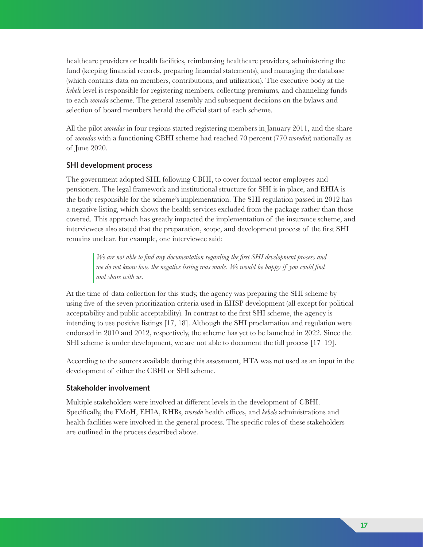healthcare providers or health facilities, reimbursing healthcare providers, administering the fund (keeping financial records, preparing financial statements), and managing the database (which contains data on members, contributions, and utilization). The executive body at the *kebele* level is responsible for registering members, collecting premiums, and channeling funds to each *woreda* scheme. The general assembly and subsequent decisions on the bylaws and selection of board members herald the official start of each scheme.

All the pilot *woredas* in four regions started registering members in January 2011, and the share of *woredas* with a functioning CBHI scheme had reached 70 percent (770 *woredas*) nationally as of June 2020.

#### **SHI development process**

The government adopted SHI, following CBHI, to cover formal sector employees and pensioners. The legal framework and institutional structure for SHI is in place, and EHIA is the body responsible for the scheme's implementation. The SHI regulation passed in 2012 has a negative listing, which shows the health services excluded from the package rather than those covered. This approach has greatly impacted the implementation of the insurance scheme, and interviewees also stated that the preparation, scope, and development process of the first SHI remains unclear. For example, one interviewee said:

*We are not able to find any documentation regarding the first SHI development process and we do not know how the negative listing was made. We would be happy if you could find and share with us.*

At the time of data collection for this study, the agency was preparing the SHI scheme by using five of the seven prioritization criteria used in EHSP development (all except for political acceptability and public acceptability). In contrast to the first SHI scheme, the agency is intending to use positive listings [17, 18]. Although the SHI proclamation and regulation were endorsed in 2010 and 2012, respectively, the scheme has yet to be launched in 2022. Since the SHI scheme is under development, we are not able to document the full process [17–19].

According to the sources available during this assessment, HTA was not used as an input in the development of either the CBHI or SHI scheme.

#### **Stakeholder involvement**

Multiple stakeholders were involved at different levels in the development of CBHI. Specifically, the FMoH, EHIA, RHBs, *woreda* health offices, and *kebele* administrations and health facilities were involved in the general process. The specific roles of these stakeholders are outlined in the process described above.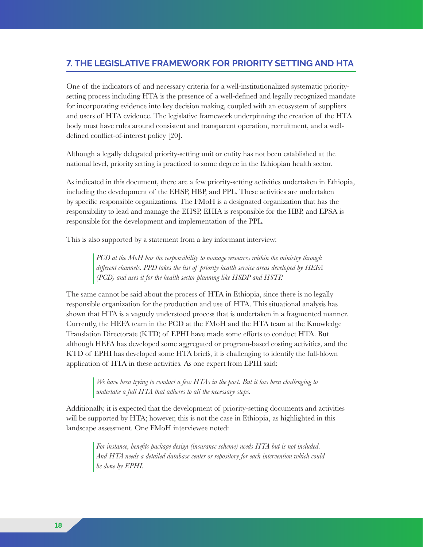# <span id="page-17-0"></span>**7. THE LEGISLATIVE FRAMEWORK FOR PRIORITY SETTING AND HTA**

One of the indicators of and necessary criteria for a well-institutionalized systematic prioritysetting process including HTA is the presence of a well-defined and legally recognized mandate for incorporating evidence into key decision making, coupled with an ecosystem of suppliers and users of HTA evidence. The legislative framework underpinning the creation of the HTA body must have rules around consistent and transparent operation, recruitment, and a welldefined conflict-of-interest policy [20].

Although a legally delegated priority-setting unit or entity has not been established at the national level, priority setting is practiced to some degree in the Ethiopian health sector.

As indicated in this document, there are a few priority-setting activities undertaken in Ethiopia, including the development of the EHSP, HBP, and PPL. These activities are undertaken by specific responsible organizations. The FMoH is a designated organization that has the responsibility to lead and manage the EHSP, EHIA is responsible for the HBP, and EPSA is responsible for the development and implementation of the PPL.

This is also supported by a statement from a key informant interview:

*PCD at the MoH has the responsibility to manage resources within the ministry through different channels. PPD takes the list of priority health service areas developed by HEFA (PCD) and uses it for the health sector planning like HSDP and HSTP.*

The same cannot be said about the process of HTA in Ethiopia, since there is no legally responsible organization for the production and use of HTA. This situational analysis has shown that HTA is a vaguely understood process that is undertaken in a fragmented manner. Currently, the HEFA team in the PCD at the FMoH and the HTA team at the Knowledge Translation Directorate (KTD) of EPHI have made some efforts to conduct HTA. But although HEFA has developed some aggregated or program-based costing activities, and the KTD of EPHI has developed some HTA briefs, it is challenging to identify the full-blown application of HTA in these activities. As one expert from EPHI said:

*We have been trying to conduct a few HTAs in the past. But it has been challenging to undertake a full HTA that adheres to all the necessary steps.*

Additionally, it is expected that the development of priority-setting documents and activities will be supported by HTA; however, this is not the case in Ethiopia, as highlighted in this landscape assessment. One FMoH interviewee noted:

> *For instance, benefits package design (insurance scheme) needs HTA but is not included. And HTA needs a detailed database center or repository for each intervention which could be done by EPHI.*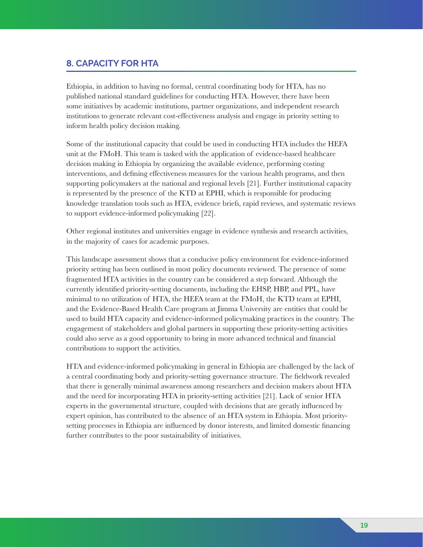# <span id="page-18-0"></span>**8. CAPACITY FOR HTA**

Ethiopia, in addition to having no formal, central coordinating body for HTA, has no published national standard guidelines for conducting HTA. However, there have been some initiatives by academic institutions, partner organizations, and independent research institutions to generate relevant cost-effectiveness analysis and engage in priority setting to inform health policy decision making.

Some of the institutional capacity that could be used in conducting HTA includes the HEFA unit at the FMoH. This team is tasked with the application of evidence-based healthcare decision making in Ethiopia by organizing the available evidence, performing costing interventions, and defining effectiveness measures for the various health programs, and then supporting policymakers at the national and regional levels [21]. Further institutional capacity is represented by the presence of the KTD at EPHI, which is responsible for producing knowledge translation tools such as HTA, evidence briefs, rapid reviews, and systematic reviews to support evidence-informed policymaking [22].

Other regional institutes and universities engage in evidence synthesis and research activities, in the majority of cases for academic purposes.

This landscape assessment shows that a conducive policy environment for evidence-informed priority setting has been outlined in most policy documents reviewed. The presence of some fragmented HTA activities in the country can be considered a step forward. Although the currently identified priority-setting documents, including the EHSP, HBP, and PPL, have minimal to no utilization of HTA, the HEFA team at the FMoH, the KTD team at EPHI, and the Evidence-Based Health Care program at Jimma University are entities that could be used to build HTA capacity and evidence-informed policymaking practices in the country. The engagement of stakeholders and global partners in supporting these priority-setting activities could also serve as a good opportunity to bring in more advanced technical and financial contributions to support the activities.

HTA and evidence-informed policymaking in general in Ethiopia are challenged by the lack of a central coordinating body and priority-setting governance structure. The fieldwork revealed that there is generally minimal awareness among researchers and decision makers about HTA and the need for incorporating HTA in priority-setting activities [21]. Lack of senior HTA experts in the governmental structure, coupled with decisions that are greatly influenced by expert opinion, has contributed to the absence of an HTA system in Ethiopia. Most prioritysetting processes in Ethiopia are influenced by donor interests, and limited domestic financing further contributes to the poor sustainability of initiatives.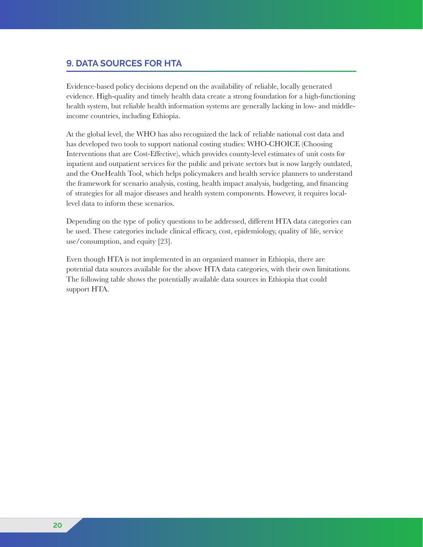# <span id="page-19-0"></span>**9. DATA SOURCES FOR HTA**

Evidence-based policy decisions depend on the availability of reliable, locally generated evidence. High-quality and timely health data create a strong foundation for a high-functioning health system, but reliable health information systems are generally lacking in low- and middleincome countries, including Ethiopia.

At the global level, the WHO has also recognized the lack of reliable national cost data and has developed two tools to support national costing studies: WHO-CHOICE (Choosing Interventions that are Cost-Effective), which provides county-level estimates of unit costs for inpatient and outpatient services for the public and private sectors but is now largely outdated, and the OneHealth Tool, which helps policymakers and health service planners to understand the framework for scenario analysis, costing, health impact analysis, budgeting, and financing of strategies for all major diseases and health system components. However, it requires locallevel data to inform these scenarios.

Depending on the type of policy questions to be addressed, different HTA data categories can be used. These categories include clinical efficacy, cost, epidemiology, quality of life, service use/consumption, and equity [23].

Even though HTA is not implemented in an organized manner in Ethiopia, there are potential data sources available for the above HTA data categories, with their own limitations. The following table shows the potentially available data sources in Ethiopia that could support HTA.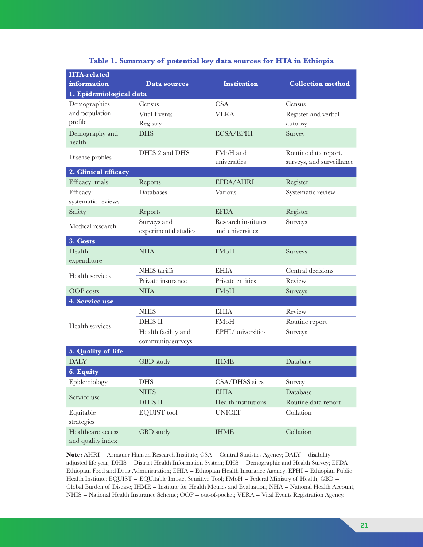<span id="page-20-0"></span>

| <b>HTA-related</b>                     |                      |                     |                           |
|----------------------------------------|----------------------|---------------------|---------------------------|
| information                            | Data sources         | <b>Institution</b>  | <b>Collection method</b>  |
| 1. Epidemiological data                |                      |                     |                           |
| Demographics                           | Census               | <b>CSA</b>          | Census                    |
| and population                         | <b>Vital Events</b>  | <b>VERA</b>         | Register and verbal       |
| profile                                | Registry             |                     | autopsy                   |
| Demography and<br>health               | <b>DHS</b>           | <b>ECSA/EPHI</b>    | Survey                    |
|                                        | DHIS 2 and DHS       | FMoH and            | Routine data report,      |
| Disease profiles                       |                      | universities        | surveys, and surveillance |
| 2. Clinical efficacy                   |                      |                     |                           |
| Efficacy: trials                       | Reports              | EFDA/AHRI           | Register                  |
| Efficacy:                              | Databases            | Various             | Systematic review         |
| systematic reviews                     |                      |                     |                           |
| Safety                                 | Reports              | <b>EFDA</b>         | Register                  |
| Medical research                       | Surveys and          | Research institutes | <b>Surveys</b>            |
|                                        | experimental studies | and universities    |                           |
| 3. Costs                               |                      |                     |                           |
| Health                                 | <b>NHA</b>           | FMoH                | Surveys                   |
| expenditure                            |                      |                     |                           |
| Health services                        | NHIS tariffs         | <b>EHIA</b>         | Central decisions         |
|                                        | Private insurance    | Private entities    | Review                    |
| OOP costs                              | <b>NHA</b>           | FMoH                | Surveys                   |
| 4. Service use                         |                      |                     |                           |
|                                        | <b>NHIS</b>          | <b>EHIA</b>         | Review                    |
| Health services                        | <b>DHIS II</b>       | <b>FMoH</b>         | Routine report            |
|                                        | Health facility and  | EPHI/universities   | <b>Surveys</b>            |
|                                        | community surveys    |                     |                           |
| 5. Quality of life                     |                      |                     |                           |
| <b>DALY</b>                            | GBD study            | <b>IHME</b>         | Database                  |
| 6. Equity                              |                      |                     |                           |
| Epidemiology                           | <b>DHS</b>           | CSA/DHSS sites      | Survey                    |
| Service use                            | <b>NHIS</b>          | <b>EHIA</b>         | Database                  |
|                                        | <b>DHIS II</b>       | Health institutions | Routine data report       |
| Equitable<br>strategies                | <b>EQUIST</b> tool   | <b>UNICEF</b>       | Collation                 |
| Healthcare access<br>and quality index | GBD study            | <b>IHME</b>         | Collation                 |

#### **Table 1. Summary of potential key data sources for HTA in Ethiopia**

**Note:** AHRI = Armauer Hansen Research Institute; CSA = Central Statistics Agency; DALY = disabilityadjusted life year; DHIS = District Health Information System; DHS = Demographic and Health Survey; EFDA = Ethiopian Food and Drug Administration; EHIA = Ethiopian Health Insurance Agency; EPHI = Ethiopian Public Health Institute; EQUIST = EQUitable Impact Sensitive Tool; FMoH = Federal Ministry of Health; GBD = Global Burden of Disease; IHME = Institute for Health Metrics and Evaluation; NHA = National Health Account; NHIS = National Health Insurance Scheme; OOP = out-of-pocket; VERA = Vital Events Registration Agency.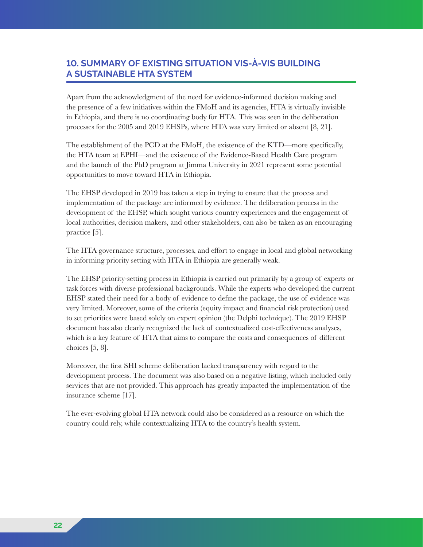# <span id="page-21-0"></span>**10. SUMMARY OF EXISTING SITUATION VIS-À-VIS BUILDING A SUSTAINABLE HTA SYSTEM**

Apart from the acknowledgment of the need for evidence-informed decision making and the presence of a few initiatives within the FMoH and its agencies, HTA is virtually invisible in Ethiopia, and there is no coordinating body for HTA. This was seen in the deliberation processes for the 2005 and 2019 EHSPs, where HTA was very limited or absent [8, 21].

The establishment of the PCD at the FMoH, the existence of the KTD—more specifically, the HTA team at EPHI—and the existence of the Evidence-Based Health Care program and the launch of the PhD program at Jimma University in 2021 represent some potential opportunities to move toward HTA in Ethiopia.

The EHSP developed in 2019 has taken a step in trying to ensure that the process and implementation of the package are informed by evidence. The deliberation process in the development of the EHSP, which sought various country experiences and the engagement of local authorities, decision makers, and other stakeholders, can also be taken as an encouraging practice [5].

The HTA governance structure, processes, and effort to engage in local and global networking in informing priority setting with HTA in Ethiopia are generally weak.

The EHSP priority-setting process in Ethiopia is carried out primarily by a group of experts or task forces with diverse professional backgrounds. While the experts who developed the current EHSP stated their need for a body of evidence to define the package, the use of evidence was very limited. Moreover, some of the criteria (equity impact and financial risk protection) used to set priorities were based solely on expert opinion (the Delphi technique). The 2019 EHSP document has also clearly recognized the lack of contextualized cost-effectiveness analyses, which is a key feature of HTA that aims to compare the costs and consequences of different choices [5, 8].

Moreover, the first SHI scheme deliberation lacked transparency with regard to the development process. The document was also based on a negative listing, which included only services that are not provided. This approach has greatly impacted the implementation of the insurance scheme [17].

The ever-evolving global HTA network could also be considered as a resource on which the country could rely, while contextualizing HTA to the country's health system.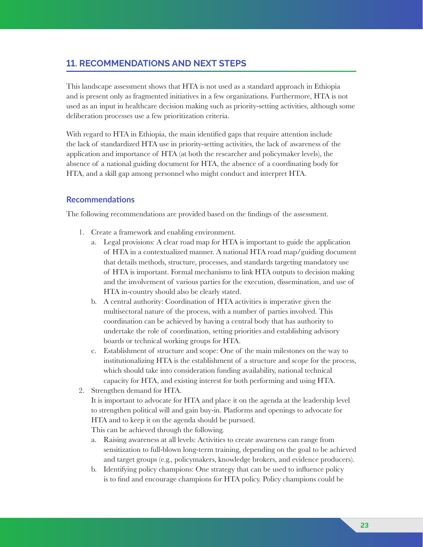# <span id="page-22-0"></span>**11. RECOMMENDATIONS AND NEXT STEPS**

This landscape assessment shows that HTA is not used as a standard approach in Ethiopia and is present only as fragmented initiatives in a few organizations. Furthermore, HTA is not used as an input in healthcare decision making such as priority-setting activities, although some deliberation processes use a few prioritization criteria.

With regard to HTA in Ethiopia, the main identified gaps that require attention include the lack of standardized HTA use in priority-setting activities, the lack of awareness of the application and importance of HTA (at both the researcher and policymaker levels), the absence of a national guiding document for HTA, the absence of a coordinating body for HTA, and a skill gap among personnel who might conduct and interpret HTA.

#### **Recommendations**

The following recommendations are provided based on the findings of the assessment.

- 1. Create a framework and enabling environment.
	- a. Legal provisions: A clear road map for HTA is important to guide the application of HTA in a contextualized manner. A national HTA road map/guiding document that details methods, structure, processes, and standards targeting mandatory use of HTA is important. Formal mechanisms to link HTA outputs to decision making and the involvement of various parties for the execution, dissemination, and use of HTA in-country should also be clearly stated.
	- b. A central authority: Coordination of HTA activities is imperative given the multisectoral nature of the process, with a number of parties involved. This coordination can be achieved by having a central body that has authority to undertake the role of coordination, setting priorities and establishing advisory boards or technical working groups for HTA.
	- c. Establishment of structure and scope: One of the main milestones on the way to institutionalizing HTA is the establishment of a structure and scope for the process, which should take into consideration funding availability, national technical capacity for HTA, and existing interest for both performing and using HTA.
- 2. Strengthen demand for HTA.

It is important to advocate for HTA and place it on the agenda at the leadership level to strengthen political will and gain buy-in. Platforms and openings to advocate for HTA and to keep it on the agenda should be pursued.

This can be achieved through the following.

- a. Raising awareness at all levels: Activities to create awareness can range from sensitization to full-blown long-term training, depending on the goal to be achieved and target groups (e.g., policymakers, knowledge brokers, and evidence producers).
- b. Identifying policy champions: One strategy that can be used to influence policy is to find and encourage champions for HTA policy. Policy champions could be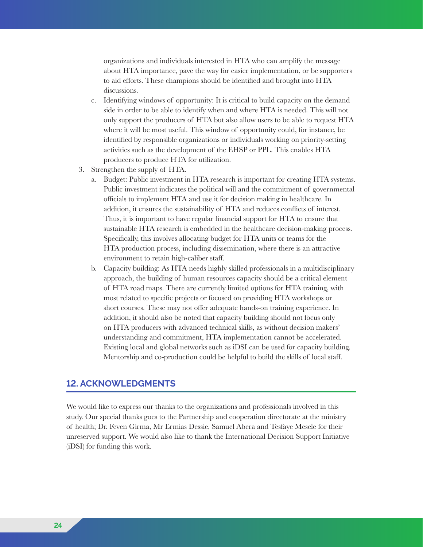<span id="page-23-0"></span>organizations and individuals interested in HTA who can amplify the message about HTA importance, pave the way for easier implementation, or be supporters to aid efforts. These champions should be identified and brought into HTA discussions.

- c. Identifying windows of opportunity: It is critical to build capacity on the demand side in order to be able to identify when and where HTA is needed. This will not only support the producers of HTA but also allow users to be able to request HTA where it will be most useful. This window of opportunity could, for instance, be identified by responsible organizations or individuals working on priority-setting activities such as the development of the EHSP or PPL. This enables HTA producers to produce HTA for utilization.
- 3. Strengthen the supply of HTA.
	- a. Budget: Public investment in HTA research is important for creating HTA systems. Public investment indicates the political will and the commitment of governmental officials to implement HTA and use it for decision making in healthcare. In addition, it ensures the sustainability of HTA and reduces conflicts of interest. Thus, it is important to have regular financial support for HTA to ensure that sustainable HTA research is embedded in the healthcare decision-making process. Specifically, this involves allocating budget for HTA units or teams for the HTA production process, including dissemination, where there is an attractive environment to retain high-caliber staff.
	- b. Capacity building: As HTA needs highly skilled professionals in a multidisciplinary approach, the building of human resources capacity should be a critical element of HTA road maps. There are currently limited options for HTA training, with most related to specific projects or focused on providing HTA workshops or short courses. These may not offer adequate hands-on training experience. In addition, it should also be noted that capacity building should not focus only on HTA producers with advanced technical skills, as without decision makers' understanding and commitment, HTA implementation cannot be accelerated. Existing local and global networks such as iDSI can be used for capacity building. Mentorship and co-production could be helpful to build the skills of local staff.

# **12. ACKNOWLEDGMENTS**

We would like to express our thanks to the organizations and professionals involved in this study. Our special thanks goes to the Partnership and cooperation directorate at the ministry of health; Dr. Feven Girma, Mr Ermias Dessie, Samuel Abera and Tesfaye Mesele for their unreserved support. We would also like to thank the International Decision Support Initiative (iDSI) for funding this work.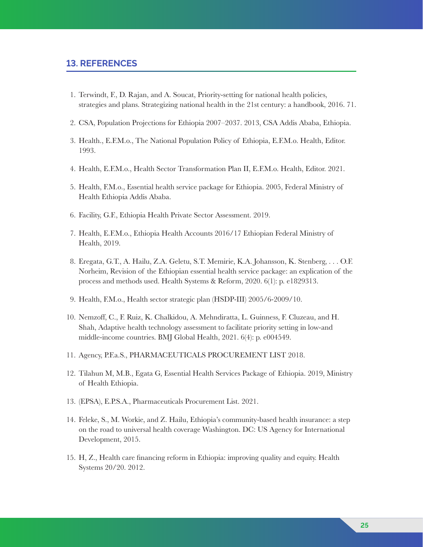### <span id="page-24-0"></span>**13. REFERENCES**

- 1. Terwindt, F., D. Rajan, and A. Soucat, Priority-setting for national health policies, strategies and plans. Strategizing national health in the 21st century: a handbook, 2016. 71.
- 2. CSA, Population Projections for Ethiopia 2007–2037. 2013, CSA Addis Ababa, Ethiopia.
- 3. Health., E.F.M.o., The National Population Policy of Ethiopia, E.F.M.o. Health, Editor. 1993.
- 4. Health, E.F.M.o., Health Sector Transformation Plan II, E.F.M.o. Health, Editor. 2021.
- 5. Health, F.M.o., Essential health service package for Ethiopia. 2005, Federal Ministry of Health Ethiopia Addis Ababa.
- 6. Facility, G.F., Ethiopia Health Private Sector Assessment. 2019.
- 7. Health, E.F.M.o., Ethiopia Health Accounts 2016/17 Ethiopian Federal Ministry of Health, 2019.
- 8. Eregata, G.T., A. Hailu, Z.A. Geletu, S.T. Memirie, K.A. Johansson, K. Stenberg, . . . O.F. Norheim, Revision of the Ethiopian essential health service package: an explication of the process and methods used. Health Systems & Reform, 2020. 6(1): p. e1829313.
- 9. Health, F.M.o., Health sector strategic plan (HSDP-III) 2005/6-2009/10.
- 10. Nemzoff, C., F. Ruiz, K. Chalkidou, A. Mehndiratta, L. Guinness, F. Cluzeau, and H. Shah, Adaptive health technology assessment to facilitate priority setting in low-and middle-income countries. BMJ Global Health, 2021. 6(4): p. e004549.
- 11. Agency, P.F.a.S., PHARMACEUTICALS PROCUREMENT LIST 2018.
- 12. Tilahun M, M.B., Egata G, Essential Health Services Package of Ethiopia. 2019, Ministry of Health Ethiopia.
- 13. (EPSA), E.P.S.A., Pharmaceuticals Procurement List. 2021.
- 14. Feleke, S., M. Workie, and Z. Hailu, Ethiopia's community-based health insurance: a step on the road to universal health coverage Washington. DC: US Agency for International Development, 2015.
- 15. H, Z., Health care financing reform in Ethiopia: improving quality and equity. Health Systems 20/20. 2012.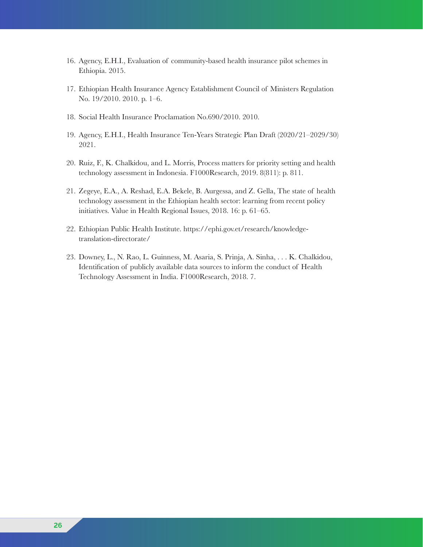- 16. Agency, E.H.I., Evaluation of community-based health insurance pilot schemes in Ethiopia. 2015.
- 17. Ethiopian Health Insurance Agency Establishment Council of Ministers Regulation No. 19/2010. 2010. p. 1–6.
- 18. Social Health Insurance Proclamation No.690/2010. 2010.
- 19. Agency, E.H.I., Health Insurance Ten-Years Strategic Plan Draft (2020/21–2029/30) 2021.
- 20. Ruiz, F., K. Chalkidou, and L. Morris, Process matters for priority setting and health technology assessment in Indonesia. F1000Research, 2019. 8(811): p. 811.
- 21. Zegeye, E.A., A. Reshad, E.A. Bekele, B. Aurgessa, and Z. Gella, The state of health technology assessment in the Ethiopian health sector: learning from recent policy initiatives. Value in Health Regional Issues, 2018. 16: p. 61–65.
- 22. Ethiopian Public Health Institute. [https://ephi.gov.et/research/knowledge](https://ephi.gov.et/research/knowledge-translation-directorate/)[translation-directorate/](https://ephi.gov.et/research/knowledge-translation-directorate/)
- 23. Downey, L., N. Rao, L. Guinness, M. Asaria, S. Prinja, A. Sinha, . . . K. Chalkidou, Identification of publicly available data sources to inform the conduct of Health Technology Assessment in India. F1000Research, 2018. 7.